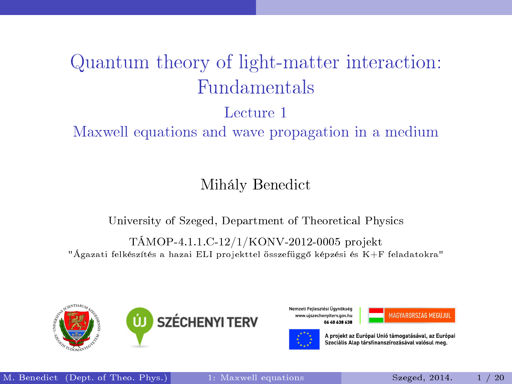# <span id="page-0-0"></span>Quantum theory of light-matter interaction: Fundamentals

#### Lecture 1

#### Maxwell equations and wave propagation in a medium

#### Mihály Benedict

#### University of Szeged, Department of Theoretical Physics

#### TÁMOP-4.1.1.C-12/1/KONV-2012-0005 projekt "Ágazati felkészítés a hazai ELI projekttel összefügg® képzési és K+F feladatokra"



Nemzeti Fejlesztési Ügynökség www.uiszechenvitery.gov.hu **8FA 8FA 0A AD** 





A projekt az Európai Unió támogatásával, az Európai Szociális Alap társfinanszírozásával valósul meg.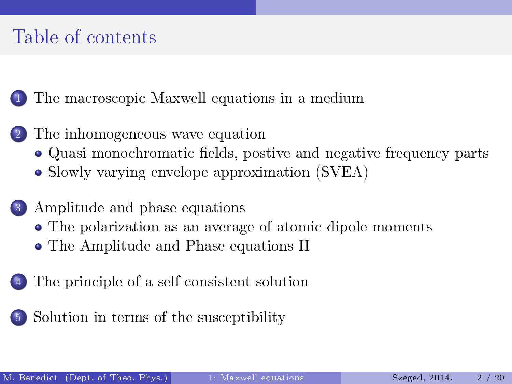## Table of contents

1 [The macroscopic Maxwell equations in a medium](#page-2-0)

- [The inhomogeneous wave equation](#page-4-0)
	- Quasi monochromatic fields, postive and negative frequency parts
	- [Slowly varying envelope approximation \(SVEA\)](#page-7-0)
- [Amplitude and phase equations](#page-9-0)
	- [The polarization as an average of atomic dipole moments](#page-11-0)
	- [The Amplitude and Phase equations II](#page-12-0)
- [The principle of a self consistent solution](#page-13-0)
- 5 [Solution in terms of the susceptibility](#page-15-0)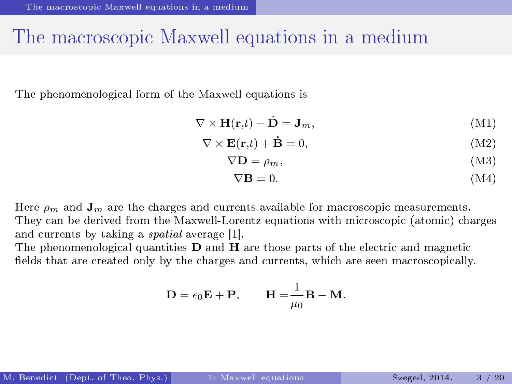#### <span id="page-2-0"></span>The macroscopic Maxwell equations in a medium

The phenomenological form of the Maxwell equations is

$$
\nabla \times \mathbf{H}(\mathbf{r,}t) - \dot{\mathbf{D}} = \mathbf{J}_m,\tag{M1}
$$

$$
\nabla \times \mathbf{E}(\mathbf{r,}t) + \dot{\mathbf{B}} = 0,
$$
\n(M2)

$$
\nabla \mathbf{D} = \rho_m,\tag{M3}
$$

$$
\nabla \mathbf{B} = 0. \tag{M4}
$$

Here  $\rho_m$  and  $\mathbf{J}_m$  are the charges and currents available for macroscopic measurements. They can be derived from the Maxwell-Lorentz equations with microscopic (atomic) charges and currents by taking a spatial average [1].

The phenomenological quantities  **and**  $**H**$  **are those parts of the electric and magnetic** fields that are created only by the charges and currents, which are seen macroscopically.

$$
\mathbf{D} = \epsilon_0 \mathbf{E} + \mathbf{P}, \qquad \mathbf{H} = \frac{1}{\mu_0} \mathbf{B} - \mathbf{M}.
$$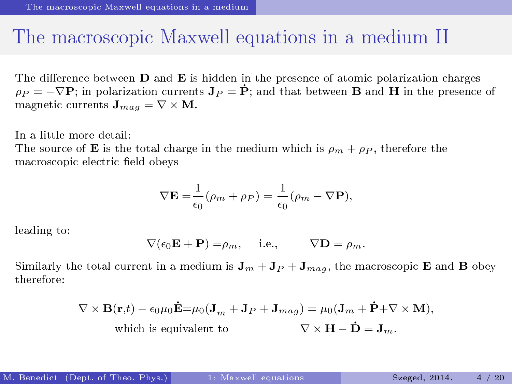#### <span id="page-3-0"></span>The macroscopic Maxwell equations in a medium II

The difference between  **and**  $**E**$  **is hidden in the presence of atomic polarization charges**  $\rho_P = -\nabla \mathbf{P}$ ; in polarization currents  $\mathbf{J}_P = \dot{\mathbf{P}}$ ; and that between **B** and **H** in the presence of magnetic currents  $\mathbf{J}_{maq} = \nabla \times \mathbf{M}$ .

In a little more detail:

The source of **E** is the total charge in the medium which is  $\rho_m + \rho_P$ , therefore the macroscopic electric field obevs

$$
\nabla \mathbf{E} = \frac{1}{\epsilon_0} (\rho_m + \rho_P) = \frac{1}{\epsilon_0} (\rho_m - \nabla \mathbf{P}),
$$

leading to:

$$
\nabla(\epsilon_0 \mathbf{E} + \mathbf{P}) = \rho_m, \quad \text{i.e.,} \quad \nabla \mathbf{D} = \rho_m.
$$

Similarly the total current in a medium is  $J_m + J_P + J_{maq}$ , the macroscopic **E** and **B** obey therefore:

$$
\nabla \times \mathbf{B}(\mathbf{r},t) - \epsilon_0 \mu_0 \dot{\mathbf{E}} = \mu_0 (\mathbf{J}_m + \mathbf{J}_P + \mathbf{J}_{mag}) = \mu_0 (\mathbf{J}_m + \dot{\mathbf{P}} + \nabla \times \mathbf{M}),
$$
  
which is equivalent to 
$$
\nabla \times \mathbf{H} - \dot{\mathbf{D}} = \mathbf{J}_m.
$$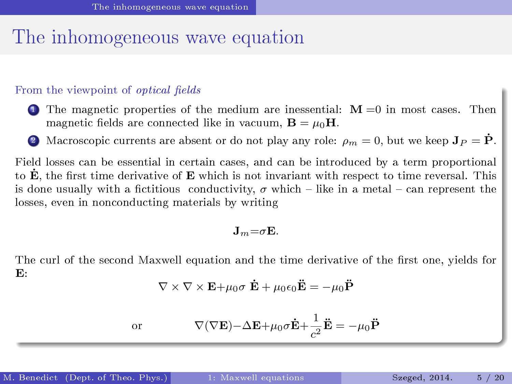#### <span id="page-4-0"></span>The inhomogeneous wave equation

#### From the viewpoint of *optical fields*

- 1 The magnetic properties of the medium are inessential:  $M = 0$  in most cases. Then magnetic fields are connected like in vacuum,  $\mathbf{B} = \mu_0 \mathbf{H}$ .
- 2 Macroscopic currents are absent or do not play any role:  $\rho_m = 0$ , but we keep  $\mathbf{J}_P = \dot{\mathbf{P}}$ .

Field losses can be essential in certain cases, and can be introduced by a term proportional to  $\dot{\mathbf{E}}$ , the first time derivative of  $\mathbf{E}$  which is not invariant with respect to time reversal. This is done usually with a fictitious conductivity,  $\sigma$  which – like in a metal – can represent the losses, even in nonconducting materials by writing

$$
\mathbf{J}_m = \sigma \mathbf{E}.
$$

The curl of the second Maxwell equation and the time derivative of the first one, yields for  $\mathbf{E}$ :

$$
\nabla \times \nabla \times \mathbf{E} + \mu_0 \sigma \dot{\mathbf{E}} + \mu_0 \epsilon_0 \ddot{\mathbf{E}} = -\mu_0 \ddot{\mathbf{P}}
$$

or 
$$
\nabla(\nabla \mathbf{E}) - \Delta \mathbf{E} + \mu_0 \sigma \dot{\mathbf{E}} + \frac{1}{c^2} \ddot{\mathbf{E}} = -\mu_0 \ddot{\mathbf{P}}
$$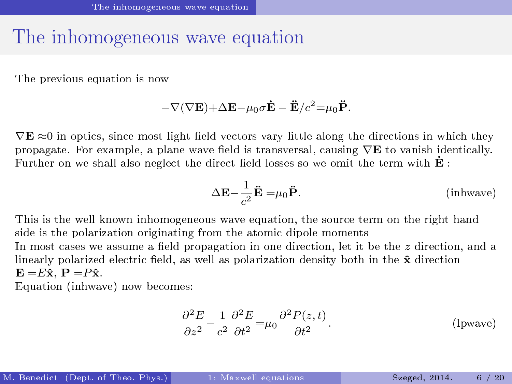#### <span id="page-5-0"></span>The inhomogeneous wave equation

The previous equation is now

$$
-\nabla(\nabla {\bf E})\!+\!\Delta {\bf E}\!-\!\mu_0\sigma\dot{{\bf E}}-\ddot{{\bf E}}/c^2\!=\!\mu_0\ddot{{\bf P}}.
$$

 $\nabla$ **E**  $\approx$ 0 in optics, since most light field vectors vary little along the directions in which they propagate. For example, a plane wave field is transversal, causing  $\nabla$ **E** to vanish identically. Further on we shall also neglect the direct field losses so we omit the term with  $\dot{\mathbf{E}}$ :

<span id="page-5-1"></span>
$$
\Delta \mathbf{E} - \frac{1}{c^2} \ddot{\mathbf{E}} = \mu_0 \ddot{\mathbf{P}}.
$$
 (inhwave)

This is the well known inhomogeneous wave equation, the source term on the right hand side is the polarization originating from the atomic dipole moments In most cases we assume a field propagation in one direction, let it be the  $z$  direction, and a linearly polarized electric field, as well as polarization density both in the  $\hat{\mathbf{x}}$  direction  $E = E\hat{x}$ ,  $P = P\hat{x}$ .

Equation [\(inhwave\)](#page-5-1) now becomes:

$$
\frac{\partial^2 E}{\partial z^2} - \frac{1}{c^2} \frac{\partial^2 E}{\partial t^2} = \mu_0 \frac{\partial^2 P(z, t)}{\partial t^2}.
$$
 (lpwave)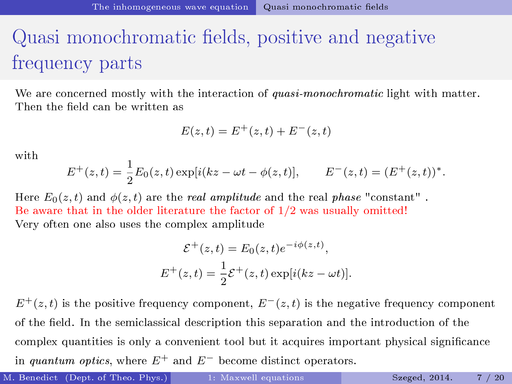## <span id="page-6-0"></span>Quasi monochromatic fields, positive and negative frequency parts

We are concerned mostly with the interaction of quasi-monochromatic light with matter. Then the field can be written as

$$
E(z, t) = E^{+}(z, t) + E^{-}(z, t)
$$

with

$$
E^{+}(z,t) = \frac{1}{2}E_0(z,t) \exp[i(kz - \omega t - \phi(z,t)], \qquad E^{-}(z,t) = (E^{+}(z,t))^{*}.
$$

Here  $E_0(z,t)$  and  $\phi(z,t)$  are the real amplitude and the real phase "constant". Be aware that in the older literature the factor of  $1/2$  was usually omitted! Very often one also uses the complex amplitude

$$
\mathcal{E}^+(z,t) = E_0(z,t)e^{-i\phi(z,t)},
$$
  

$$
E^+(z,t) = \frac{1}{2}\mathcal{E}^+(z,t)\exp[i(kz-\omega t)].
$$

 $E^+(z,t)$  is the positive frequency component,  $E^-(z,t)$  is the negative frequency component of the eld. In the semiclassical description this separation and the introduction of the complex quantities is only a convenient tool but it acquires important physical significance in quantum optics, where  $E^+$  and  $E^-$  become distinct operators.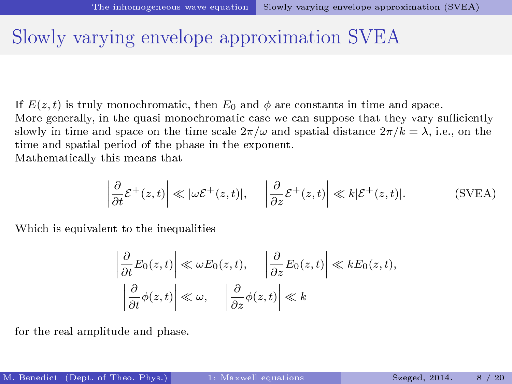#### <span id="page-7-0"></span>Slowly varying envelope approximation SVEA

If  $E(z, t)$  is truly monochromatic, then  $E_0$  and  $\phi$  are constants in time and space.

More generally, in the quasi monochromatic case we can suppose that they vary sufficiently slowly in time and space on the time scale  $2\pi/\omega$  and spatial distance  $2\pi/k = \lambda$ , i.e., on the time and spatial period of the phase in the exponent.

Mathematically this means that

$$
\left| \frac{\partial}{\partial t} \mathcal{E}^+(z,t) \right| \ll |\omega \mathcal{E}^+(z,t)|, \quad \left| \frac{\partial}{\partial z} \mathcal{E}^+(z,t) \right| \ll k|\mathcal{E}^+(z,t)|. \tag{SVEA}
$$

Which is equivalent to the inequalities

$$
\left|\frac{\partial}{\partial t}E_0(z,t)\right| \ll \omega E_0(z,t), \quad \left|\frac{\partial}{\partial z}E_0(z,t)\right| \ll k E_0(z,t),
$$

$$
\left|\frac{\partial}{\partial t}\phi(z,t)\right| \ll \omega, \quad \left|\frac{\partial}{\partial z}\phi(z,t)\right| \ll k
$$

for the real amplitude and phase.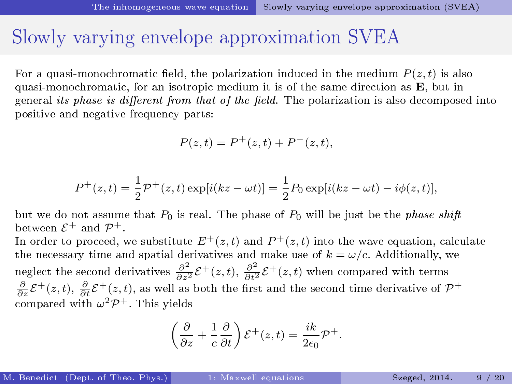#### <span id="page-8-0"></span>Slowly varying envelope approximation SVEA

For a quasi-monochromatic field, the polarization induced in the medium  $P(z, t)$  is also quasi-monochromatic, for an isotropic medium it is of the same direction as E, but in general its phase is different from that of the field. The polarization is also decomposed into positive and negative frequency parts:

$$
P(z, t) = P^+(z, t) + P^-(z, t),
$$

$$
P^{+}(z,t) = \frac{1}{2}\mathcal{P}^{+}(z,t) \exp[i(kz - \omega t)] = \frac{1}{2}P_0 \exp[i(kz - \omega t) - i\phi(z,t)],
$$

but we do not assume that  $P_0$  is real. The phase of  $P_0$  will be just be the *phase shift* between  $\mathcal{E}^+$  and  $\mathcal{P}^+$ .

In order to proceed, we substitute  $E^+(z,t)$  and  $P^+(z,t)$  into the wave equation, calculate the necessary time and spatial derivatives and make use of  $k = \omega/c$ . Additionally, we neglect the second derivatives  $\frac{\partial^2}{\partial z^2} \mathcal{E}^+(z,t)$ ,  $\frac{\partial^2}{\partial t^2} \mathcal{E}^+(z,t)$  when compared with terms  $\frac{\partial}{\partial z}\mathcal{E}^+(z,t),\,\frac{\partial}{\partial t}\mathcal{E}^+(z,t),$  as well as both the first and the second time derivative of  $\mathcal{P}^+$ compared with  $\omega^2 \mathcal{P}^+$ . This yields

$$
\left(\frac{\partial}{\partial z} + \frac{1}{c} \frac{\partial}{\partial t}\right) \mathcal{E}^+(z, t) = \frac{ik}{2\epsilon_0} \mathcal{P}^+.
$$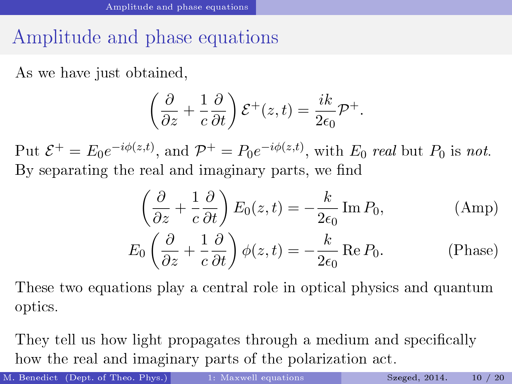## <span id="page-9-0"></span>Amplitude and phase equations

As we have just obtained,

$$
\left(\frac{\partial}{\partial z} + \frac{1}{c} \frac{\partial}{\partial t}\right) \mathcal{E}^+(z, t) = \frac{ik}{2\epsilon_0} \mathcal{P}^+.
$$

Put  $\mathcal{E}^+ = E_0 e^{-i\phi(z,t)}$ , and  $\mathcal{P}^+ = P_0 e^{-i\phi(z,t)}$ , with  $E_0$  real but  $P_0$  is not. By separating the real and imaginary parts, we find

$$
\left(\frac{\partial}{\partial z} + \frac{1}{c}\frac{\partial}{\partial t}\right) E_0(z, t) = -\frac{k}{2\epsilon_0} \operatorname{Im} P_0,
$$
\n(Amp)  
\n
$$
E_0 \left(\frac{\partial}{\partial z} + \frac{1}{c}\frac{\partial}{\partial t}\right) \phi(z, t) = -\frac{k}{2\epsilon_0} \operatorname{Re} P_0.
$$
\n(Phase)

These two equations play a central role in optical physics and quantum optics.

They tell us how light propagates through a medium and specifically how the real and imaginary parts of the polarization act.

<span id="page-9-2"></span><span id="page-9-1"></span>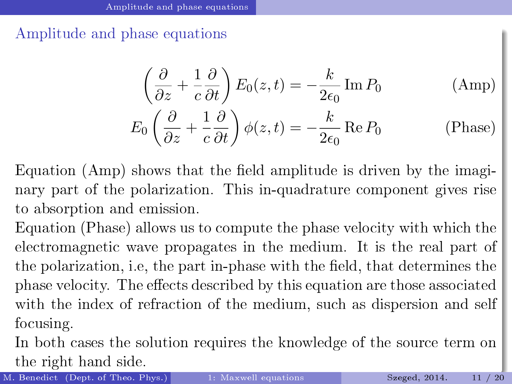<span id="page-10-0"></span>Amplitude and phase equations

$$
\left(\frac{\partial}{\partial z} + \frac{1}{c}\frac{\partial}{\partial t}\right) E_0(z, t) = -\frac{k}{2\epsilon_0} \operatorname{Im} P_0 \qquad \text{(Amp)}
$$
  

$$
E_0 \left(\frac{\partial}{\partial z} + \frac{1}{c}\frac{\partial}{\partial t}\right) \phi(z, t) = -\frac{k}{2\epsilon_0} \operatorname{Re} P_0 \qquad \text{(Phase)}
$$

Equation (Amp) shows that the field amplitude is driven by the imaginary part of the polarization. This in-quadrature component gives rise to absorption and emission.

Equation (Phase) allows us to compute the phase velocity with which the electromagnetic wave propagates in the medium. It is the real part of the polarization, i.e, the part in-phase with the field, that determines the phase velocity. The effects described by this equation are those associated with the index of refraction of the medium, such as dispersion and self focusing.

In both cases the solution requires the knowledge of the source term on the right hand side.

M. Benedict (Dept. of Theo. Phys.) [1: Maxwell equations](#page-0-0) Szeged, 2014. 11 / 20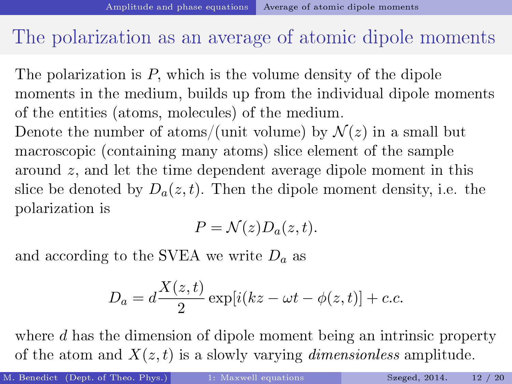#### <span id="page-11-0"></span>The polarization as an average of atomic dipole moments

The polarization is P, which is the volume density of the dipole moments in the medium, builds up from the individual dipole moments of the entities (atoms, molecules) of the medium. Denote the number of atoms/(unit volume) by  $\mathcal{N}(z)$  in a small but macroscopic (containing many atoms) slice element of the sample around z, and let the time dependent average dipole moment in this slice be denoted by  $D_a(z, t)$ . Then the dipole moment density, i.e. the polarization is

$$
P = \mathcal{N}(z)D_a(z,t).
$$

and according to the SVEA we write  $D_a$  as

$$
D_a = d\frac{X(z,t)}{2} \exp[i(kz - \omega t - \phi(z,t)] + c.c.
$$

where d has the dimension of dipole moment being an intrinsic property of the atom and  $X(z, t)$  is a slowly varying *dimensionless* amplitude.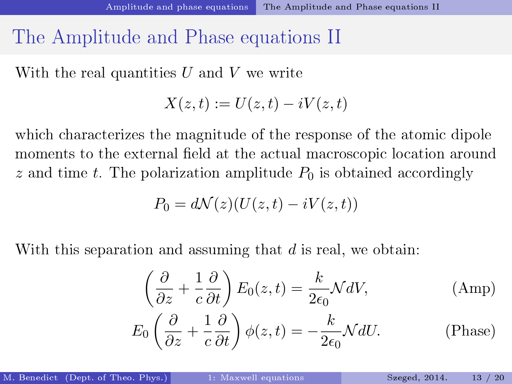### <span id="page-12-0"></span>The Amplitude and Phase equations II

With the real quantities  $U$  and  $V$  we write

$$
X(z,t) := U(z,t) - iV(z,t)
$$

which characterizes the magnitude of the response of the atomic dipole moments to the external field at the actual macroscopic location around z and time t. The polarization amplitude  $P_0$  is obtained accordingly

$$
P_0 = d\mathcal{N}(z)(U(z,t) - iV(z,t))
$$

With this separation and assuming that  $d$  is real, we obtain:

$$
\left(\frac{\partial}{\partial z} + \frac{1}{c}\frac{\partial}{\partial t}\right)E_0(z, t) = \frac{k}{2\epsilon_0} \mathcal{M}dV,
$$
\n(Amp)

\n
$$
\left(\frac{\partial}{\partial z} + \frac{1}{c}\frac{\partial}{\partial t}\right) \left(\frac{1}{\epsilon_0}\right) \left(\frac{1}{\epsilon_0}\right) = \frac{k}{\epsilon_0} \mathcal{M}dV,
$$
\n(D1)

$$
E_0 \left( \frac{\partial}{\partial z} + \frac{1}{c} \frac{\partial}{\partial t} \right) \phi(z, t) = -\frac{k}{2\epsilon_0} \mathcal{N} dU.
$$
 (Phase)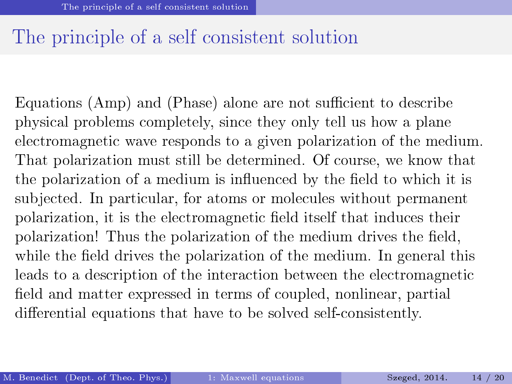#### <span id="page-13-0"></span>The principle of a self consistent solution

Equations [\(Amp\)](#page-9-1) and [\(Phase\)](#page-9-2) alone are not sufficient to describe physical problems completely, since they only tell us how a plane electromagnetic wave responds to a given polarization of the medium. That polarization must still be determined. Of course, we know that the polarization of a medium is influenced by the field to which it is subjected. In particular, for atoms or molecules without permanent polarization, it is the electromagnetic field itself that induces their polarization! Thus the polarization of the medium drives the field, while the field drives the polarization of the medium. In general this leads to a description of the interaction between the electromagnetic field and matter expressed in terms of coupled, nonlinear, partial differential equations that have to be solved self-consistently.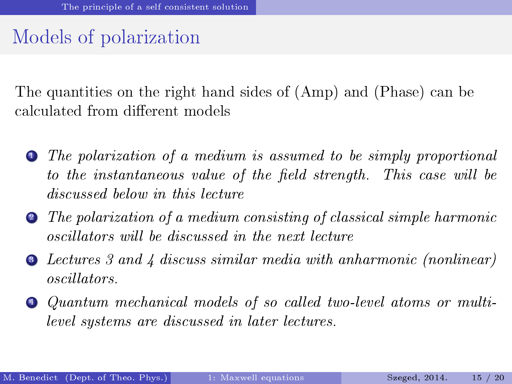### <span id="page-14-0"></span>Models of polarization

The quantities on the right hand sides of (Amp) and (Phase) can be calculated from different models

- **1** The polarization of a medium is assumed to be simply proportional to the instantaneous value of the field strength. This case will be discussed below in this lecture
- <sup>2</sup> The polarization of a medium consisting of classical simple harmonic oscillators will be discussed in the next lecture
- <sup>3</sup> Lectures 3 and 4 discuss similar media with anharmonic (nonlinear) oscillators.
- <sup>4</sup> Quantum mechanical models of so called two-level atoms or multilevel systems are discussed in later lectures.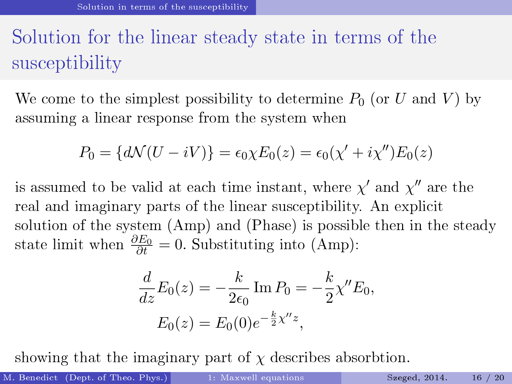## <span id="page-15-0"></span>Solution for the linear steady state in terms of the susceptibility

We come to the simplest possibility to determine  $P_0$  (or U and V) by assuming a linear response from the system when

$$
P_0 = \{d\mathcal{N}(U - iV)\} = \epsilon_0 \chi E_0(z) = \epsilon_0(\chi' + i\chi'')E_0(z)
$$

is assumed to be valid at each time instant, where  $\chi'$  and  $\chi''$  are the real and imaginary parts of the linear susceptibility. An explicit solution of the system (Amp) and (Phase) is possible then in the steady state limit when  $\frac{\partial E_0}{\partial t} = 0$ . Substituting into (Amp):

$$
\frac{d}{dz}E_0(z) = -\frac{k}{2\epsilon_0} \operatorname{Im} P_0 = -\frac{k}{2} \chi'' E_0,
$$
  

$$
E_0(z) = E_0(0) e^{-\frac{k}{2}\chi'' z},
$$

showing that the imaginary part of  $\chi$  describes absorbtion.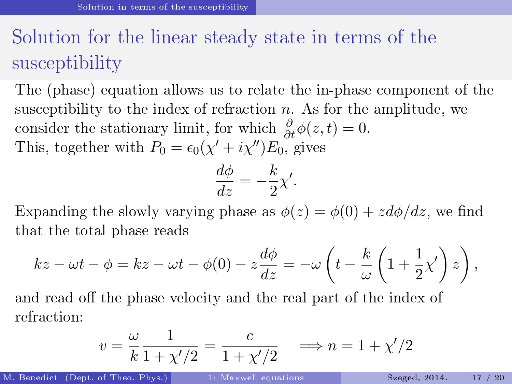## <span id="page-16-0"></span>Solution for the linear steady state in terms of the susceptibility

The (phase) equation allows us to relate the in-phase component of the susceptibility to the index of refraction  $n$ . As for the amplitude, we consider the stationary limit, for which  $\frac{\partial}{\partial t}\phi(z,t) = 0$ . This, together with  $P_0 = \epsilon_0(\chi' + i\chi'')E_0$ , gives

$$
\frac{d\phi}{dz} = -\frac{k}{2}\chi'.
$$

Expanding the slowly varying phase as  $\phi(z) = \phi(0) + z d\phi/dz$ , we find that the total phase reads

$$
kz - \omega t - \phi = kz - \omega t - \phi(0) - z\frac{d\phi}{dz} = -\omega \left( t - \frac{k}{\omega} \left( 1 + \frac{1}{2}\chi' \right) z \right),
$$

and read off the phase velocity and the real part of the index of refraction:

$$
v = \frac{\omega}{k} \frac{1}{1 + \chi'/2} = \frac{c}{1 + \chi'/2} \implies n = 1 + \chi'/2
$$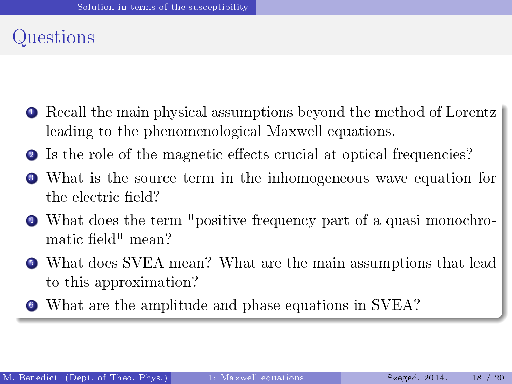### <span id="page-17-0"></span>Questions

- **•** Recall the main physical assumptions beyond the method of Lorentz leading to the phenomenological Maxwell equations.
- **2** Is the role of the magnetic effects crucial at optical frequencies?
- <sup>3</sup> What is the source term in the inhomogeneous wave equation for the electric field?
- <sup>4</sup> What does the term "positive frequency part of a quasi monochromatic field" mean?
- <sup>5</sup> What does SVEA mean? What are the main assumptions that lead to this approximation?
- <sup>6</sup> What are the amplitude and phase equations in SVEA?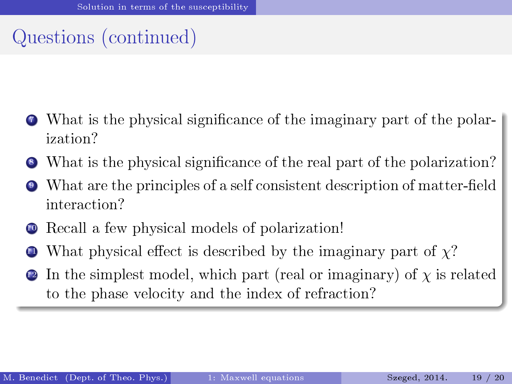## <span id="page-18-0"></span>Questions (continued)

- <sup>7</sup> What is the physical signicance of the imaginary part of the polarization?
- What is the physical significance of the real part of the polarization?
- What are the principles of a self consistent description of matter-field interaction?
- Recall a few physical models of polarization!
- What physical effect is described by the imaginary part of  $\chi$ ?
- In the simplest model, which part (real or imaginary) of  $\chi$  is related to the phase velocity and the index of refraction?